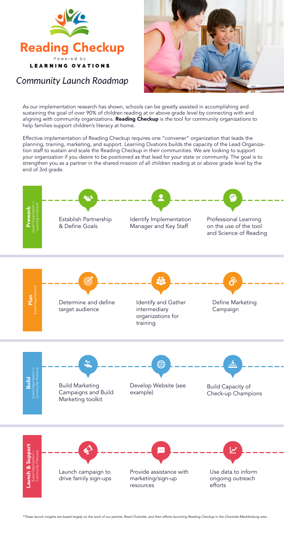

**Community Launch Roadmap** 

As our implementation research has shown, schools can be greatly assisted in accomplishing and sustaining the goal of over 90% of children reading at or above grade level by connecting with and aligning with community organizations. Reading Checkup is *the* tool for community organizations to help families support children's literacy at home.



Effective implementation of Reading Checkup requires one "convener" organization that leads the planning, training, marketing, and support. Learning Ovations builds the capacity of the Lead Organization staff to sustain and scale the Reading Checkup in their communities. We are looking to support your organization if you desire to be positioned as that lead for your state or community. The goal is to strengthen you as a partner in the shared mission of all children reading at or above grade level by the end of 3rd grade.



*\*These launch insights are based largely on the work of our partner, Read Charlotte, and their efforts launching Reading Checkup in the Charlotte-Mecklenburg area.*